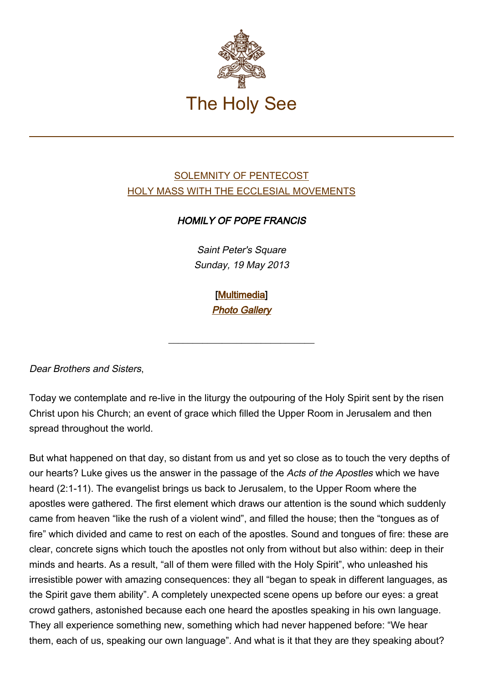

## [SOLEMNITY OF PENTECOST](http://www.vatican.va/news_services/liturgy/libretti/2013/20130519-libretto-pentecoste.pdf) [HOLY MASS WITH THE ECCLESIAL MOVEMENTS](http://www.vatican.va/news_services/liturgy/libretti/2013/20130519-libretto-pentecoste.pdf)

## HOMILY OF POPE FRANCIS

Saint Peter's Square Sunday, 19 May 2013

> [\[Multimedia](https://www.vatican.va/content/francesco/en/events/event.dir.html/content/vaticanevents/en/2013/5/19/papa-francesco_20130519_omelia-pentecoste.html)] [Photo Gallery](http://www.photogallery.va/content/photogallery/en/celebrazioni-liturgiche/pentecoste2013.html)

\_\_\_\_\_\_\_\_\_\_\_\_\_\_\_\_\_\_\_\_\_\_\_\_\_\_\_\_\_\_

Dear Brothers and Sisters,

Today we contemplate and re-live in the liturgy the outpouring of the Holy Spirit sent by the risen Christ upon his Church; an event of grace which filled the Upper Room in Jerusalem and then spread throughout the world.

But what happened on that day, so distant from us and yet so close as to touch the very depths of our hearts? Luke gives us the answer in the passage of the Acts of the Apostles which we have heard (2:1-11). The evangelist brings us back to Jerusalem, to the Upper Room where the apostles were gathered. The first element which draws our attention is the sound which suddenly came from heaven "like the rush of a violent wind", and filled the house; then the "tongues as of fire" which divided and came to rest on each of the apostles. Sound and tongues of fire: these are clear, concrete signs which touch the apostles not only from without but also within: deep in their minds and hearts. As a result, "all of them were filled with the Holy Spirit", who unleashed his irresistible power with amazing consequences: they all "began to speak in different languages, as the Spirit gave them ability". A completely unexpected scene opens up before our eyes: a great crowd gathers, astonished because each one heard the apostles speaking in his own language. They all experience something new, something which had never happened before: "We hear them, each of us, speaking our own language". And what is it that they are they speaking about?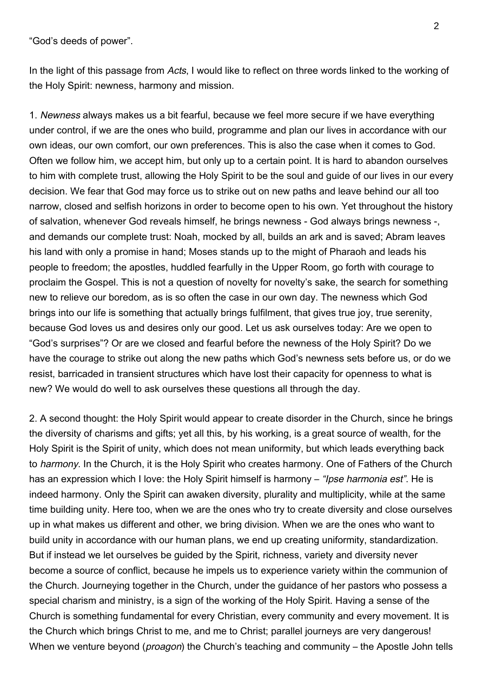"God's deeds of power".

In the light of this passage from Acts, I would like to reflect on three words linked to the working of the Holy Spirit: newness, harmony and mission.

1. Newness always makes us a bit fearful, because we feel more secure if we have everything under control, if we are the ones who build, programme and plan our lives in accordance with our own ideas, our own comfort, our own preferences. This is also the case when it comes to God. Often we follow him, we accept him, but only up to a certain point. It is hard to abandon ourselves to him with complete trust, allowing the Holy Spirit to be the soul and guide of our lives in our every decision. We fear that God may force us to strike out on new paths and leave behind our all too narrow, closed and selfish horizons in order to become open to his own. Yet throughout the history of salvation, whenever God reveals himself, he brings newness - God always brings newness -, and demands our complete trust: Noah, mocked by all, builds an ark and is saved; Abram leaves his land with only a promise in hand; Moses stands up to the might of Pharaoh and leads his people to freedom; the apostles, huddled fearfully in the Upper Room, go forth with courage to proclaim the Gospel. This is not a question of novelty for novelty's sake, the search for something new to relieve our boredom, as is so often the case in our own day. The newness which God brings into our life is something that actually brings fulfilment, that gives true joy, true serenity, because God loves us and desires only our good. Let us ask ourselves today: Are we open to "God's surprises"? Or are we closed and fearful before the newness of the Holy Spirit? Do we have the courage to strike out along the new paths which God's newness sets before us, or do we resist, barricaded in transient structures which have lost their capacity for openness to what is new? We would do well to ask ourselves these questions all through the day.

2. A second thought: the Holy Spirit would appear to create disorder in the Church, since he brings the diversity of charisms and gifts; yet all this, by his working, is a great source of wealth, for the Holy Spirit is the Spirit of unity, which does not mean uniformity, but which leads everything back to harmony. In the Church, it is the Holy Spirit who creates harmony. One of Fathers of the Church has an expression which I love: the Holy Spirit himself is harmony – "lpse harmonia est". He is indeed harmony. Only the Spirit can awaken diversity, plurality and multiplicity, while at the same time building unity. Here too, when we are the ones who try to create diversity and close ourselves up in what makes us different and other, we bring division. When we are the ones who want to build unity in accordance with our human plans, we end up creating uniformity, standardization. But if instead we let ourselves be guided by the Spirit, richness, variety and diversity never become a source of conflict, because he impels us to experience variety within the communion of the Church. Journeying together in the Church, under the guidance of her pastors who possess a special charism and ministry, is a sign of the working of the Holy Spirit. Having a sense of the Church is something fundamental for every Christian, every community and every movement. It is the Church which brings Christ to me, and me to Christ; parallel journeys are very dangerous! When we venture beyond (*proagon*) the Church's teaching and community – the Apostle John tells